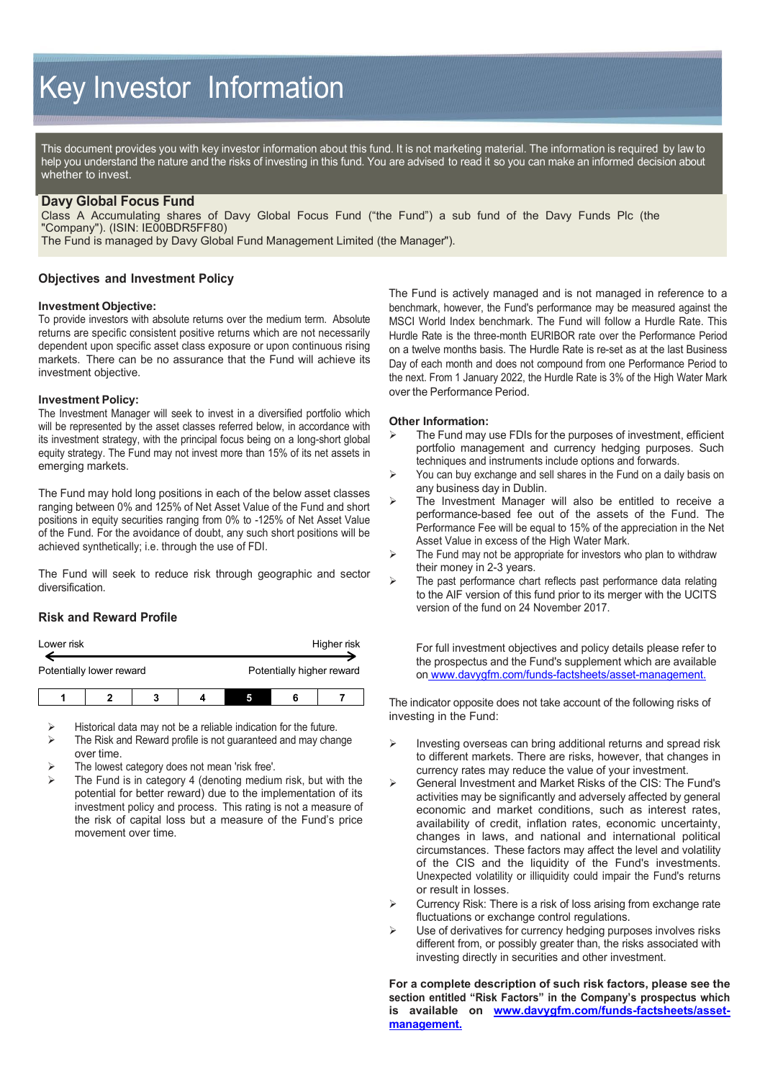# Key Investor Information

This document provides you with key investor information about this fund. It is not marketing material. The information is required by law to help you understand the nature and the risks of investing in this fund. You are advised to read it so you can make an informed decision about whether to invest.

## **Davy Global Focus Fund**

Class A Accumulating shares of Davy Global Focus Fund ("the Fund") a sub fund of the Davy Funds Plc (the "Company"). (ISIN: IE00BDR5FF80)

The Fund is managed by Davy Global Fund Management Limited (the Manager").

# **Objectives and Investment Policy**

#### **Investment Objective:**

To provide investors with absolute returns over the medium term. Absolute returns are specific consistent positive returns which are not necessarily dependent upon specific asset class exposure or upon continuous rising markets. There can be no assurance that the Fund will achieve its investment objective.

#### **Investment Policy:**

The Investment Manager will seek to invest in a diversified portfolio which will be represented by the asset classes referred below, in accordance with its investment strategy, with the principal focus being on a long-short global equity strategy. The Fund may not invest more than 15% of its net assets in emerging markets.

The Fund may hold long positions in each of the below asset classes ranging between 0% and 125% of Net Asset Value of the Fund and short positions in equity securities ranging from 0% to -125% of Net Asset Value of the Fund. For the avoidance of doubt, any such short positions will be achieved synthetically; i.e. through the use of FDI.

The Fund will seek to reduce risk through geographic and sector diversification.

# **Risk and Reward Profile**

| Lower risk               |  |  |  | Higher risk               |  |  |
|--------------------------|--|--|--|---------------------------|--|--|
| Potentially lower reward |  |  |  | Potentially higher reward |  |  |
|                          |  |  |  |                           |  |  |

Historical data may not be a reliable indication for the future.

- $\triangleright$  The Risk and Reward profile is not guaranteed and may change over time.
- The lowest category does not mean 'risk free'.
- The Fund is in category 4 (denoting medium risk, but with the potential for better reward) due to the implementation of its investment policy and process. This rating is not a measure of the risk of capital loss but a measure of the Fund's price movement over time.

The Fund is actively managed and is not managed in reference to a benchmark, however, the Fund's performance may be measured against the MSCI World Index benchmark. The Fund will follow a Hurdle Rate. This Hurdle Rate is the three-month EURIBOR rate over the Performance Period on a twelve months basis. The Hurdle Rate is re-set as at the last Business Day of each month and does not compound from one Performance Period to the next. From 1 January 2022, the Hurdle Rate is 3% of the High Water Mark over the Performance Period.

### **Other Information:**

- $\triangleright$  The Fund may use FDIs for the purposes of investment, efficient portfolio management and currency hedging purposes. Such techniques and instruments include options and forwards.
- You can buy exchange and sell shares in the Fund on a daily basis on any business day in Dublin.
- $\triangleright$  The Investment Manager will also be entitled to receive a performance-based fee out of the assets of the Fund. The Performance Fee will be equal to 15% of the appreciation in the Net Asset Value in excess of the High Water Mark.
- $\triangleright$  The Fund may not be appropriate for investors who plan to withdraw their money in 2-3 years.
- The past performance chart reflects past performance data relating to the AIF version of this fund prior to its merger with the UCITS version of the fund on 24 November 2017.

For full investment objectives and policy details please refer to the prospectus and the Fund's supplement which are available on [www.davygfm.com/funds-factsheets/asset-management.](http://www.davygfm.com/funds-factsheets/asset-management)

The indicator opposite does not take account of the following risks of investing in the Fund:

- $\triangleright$  Investing overseas can bring additional returns and spread risk to different markets. There are risks, however, that changes in currency rates may reduce the value of your investment.
- General Investment and Market Risks of the CIS: The Fund's activities may be significantly and adversely affected by general economic and market conditions, such as interest rates, availability of credit, inflation rates, economic uncertainty, changes in laws, and national and international political circumstances. These factors may affect the level and volatility of the CIS and the liquidity of the Fund's investments. Unexpected volatility or illiquidity could impair the Fund's returns or result in losses.
- $\triangleright$  Currency Risk: There is a risk of loss arising from exchange rate fluctuations or exchange control regulations.
- $\triangleright$  Use of derivatives for currency hedging purposes involves risks different from, or possibly greater than, the risks associated with investing directly in securities and other investment.

**For a complete description of such risk factors, please see the section entitled "Risk Factors" in the Company's prospectus which is available on [www.davygfm.com/funds-factsheets/asset](http://www.davygfm.com/funds-factsheets/asset-management)[management.](http://www.davygfm.com/funds-factsheets/asset-management)**